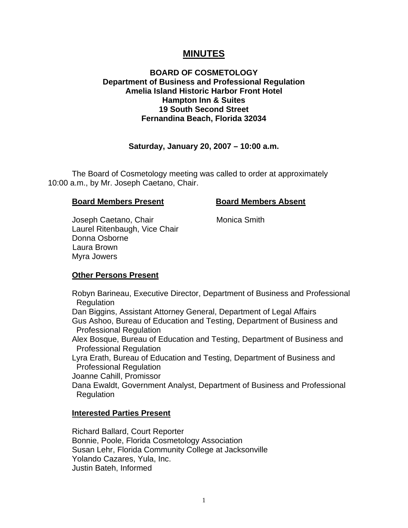# **MINUTES**

## **BOARD OF COSMETOLOGY Department of Business and Professional Regulation Amelia Island Historic Harbor Front Hotel Hampton Inn & Suites 19 South Second Street Fernandina Beach, Florida 32034**

## **Saturday, January 20, 2007 – 10:00 a.m.**

 The Board of Cosmetology meeting was called to order at approximately 10:00 a.m., by Mr. Joseph Caetano, Chair.

#### **Board Members Present Board Members Absent**

Joseph Caetano, Chair **Monica Smith**  Laurel Ritenbaugh, Vice Chair Donna Osborne Laura Brown Myra Jowers

## **Other Persons Present**

 Robyn Barineau, Executive Director, Department of Business and Professional Regulation Dan Biggins, Assistant Attorney General, Department of Legal Affairs Gus Ashoo, Bureau of Education and Testing, Department of Business and Professional Regulation Alex Bosque, Bureau of Education and Testing, Department of Business and Professional Regulation Lyra Erath, Bureau of Education and Testing, Department of Business and Professional Regulation Joanne Cahill, Promissor Dana Ewaldt, Government Analyst, Department of Business and Professional Regulation

## **Interested Parties Present**

Richard Ballard, Court Reporter Bonnie, Poole, Florida Cosmetology Association Susan Lehr, Florida Community College at Jacksonville Yolando Cazares, Yula, Inc. Justin Bateh, Informed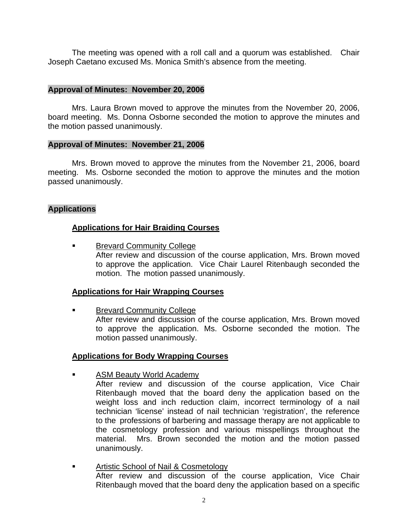The meeting was opened with a roll call and a quorum was established. Chair Joseph Caetano excused Ms. Monica Smith's absence from the meeting.

#### **Approval of Minutes: November 20, 2006**

Mrs. Laura Brown moved to approve the minutes from the November 20, 2006, board meeting. Ms. Donna Osborne seconded the motion to approve the minutes and the motion passed unanimously.

#### **Approval of Minutes: November 21, 2006**

Mrs. Brown moved to approve the minutes from the November 21, 2006, board meeting. Ms. Osborne seconded the motion to approve the minutes and the motion passed unanimously.

## **Applications**

# **Applications for Hair Braiding Courses**

 Brevard Community College After review and discussion of the course application, Mrs. Brown moved to approve the application. Vice Chair Laurel Ritenbaugh seconded the motion. The motion passed unanimously.

## **Applications for Hair Wrapping Courses**

Brevard Community College

 After review and discussion of the course application, Mrs. Brown moved to approve the application. Ms. Osborne seconded the motion. The motion passed unanimously.

#### **Applications for Body Wrapping Courses**

- ASM Beauty World Academy
	- After review and discussion of the course application, Vice Chair Ritenbaugh moved that the board deny the application based on the weight loss and inch reduction claim, incorrect terminology of a nail technician 'license' instead of nail technician 'registration', the reference to the professions of barbering and massage therapy are not applicable to the cosmetology profession and various misspellings throughout the material. Mrs. Brown seconded the motion and the motion passed unanimously.
- **Artistic School of Nail & Cosmetology**  After review and discussion of the course application, Vice Chair Ritenbaugh moved that the board deny the application based on a specific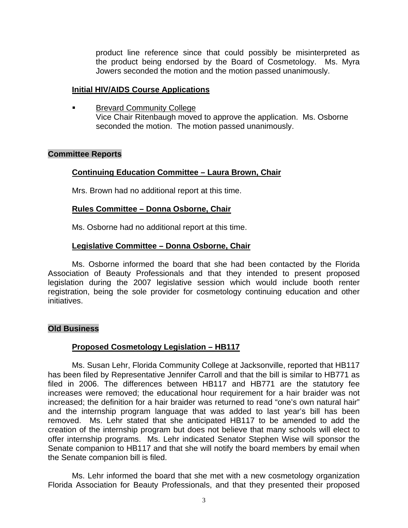product line reference since that could possibly be misinterpreted as the product being endorsed by the Board of Cosmetology. Ms. Myra Jowers seconded the motion and the motion passed unanimously.

#### **Initial HIV/AIDS Course Applications**

 Brevard Community College Vice Chair Ritenbaugh moved to approve the application. Ms. Osborne seconded the motion. The motion passed unanimously.

#### **Committee Reports**

# **Continuing Education Committee – Laura Brown, Chair**

Mrs. Brown had no additional report at this time.

## **Rules Committee – Donna Osborne, Chair**

Ms. Osborne had no additional report at this time.

# **Legislative Committee – Donna Osborne, Chair**

 Ms. Osborne informed the board that she had been contacted by the Florida Association of Beauty Professionals and that they intended to present proposed legislation during the 2007 legislative session which would include booth renter registration, being the sole provider for cosmetology continuing education and other initiatives.

## **Old Business**

## **Proposed Cosmetology Legislation – HB117**

 Ms. Susan Lehr, Florida Community College at Jacksonville, reported that HB117 has been filed by Representative Jennifer Carroll and that the bill is similar to HB771 as filed in 2006. The differences between HB117 and HB771 are the statutory fee increases were removed; the educational hour requirement for a hair braider was not increased; the definition for a hair braider was returned to read "one's own natural hair" and the internship program language that was added to last year's bill has been removed. Ms. Lehr stated that she anticipated HB117 to be amended to add the creation of the internship program but does not believe that many schools will elect to offer internship programs. Ms. Lehr indicated Senator Stephen Wise will sponsor the Senate companion to HB117 and that she will notify the board members by email when the Senate companion bill is filed.

 Ms. Lehr informed the board that she met with a new cosmetology organization Florida Association for Beauty Professionals, and that they presented their proposed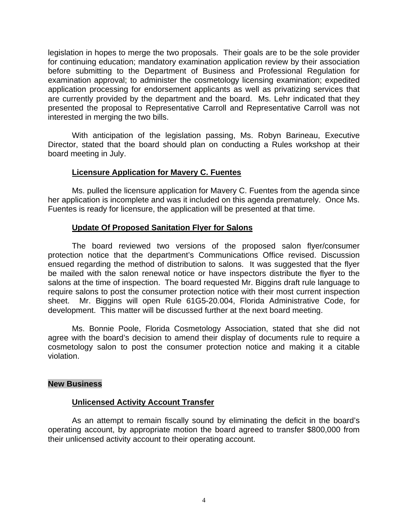legislation in hopes to merge the two proposals. Their goals are to be the sole provider for continuing education; mandatory examination application review by their association before submitting to the Department of Business and Professional Regulation for examination approval; to administer the cosmetology licensing examination; expedited application processing for endorsement applicants as well as privatizing services that are currently provided by the department and the board. Ms. Lehr indicated that they presented the proposal to Representative Carroll and Representative Carroll was not interested in merging the two bills.

 With anticipation of the legislation passing, Ms. Robyn Barineau, Executive Director, stated that the board should plan on conducting a Rules workshop at their board meeting in July.

## **Licensure Application for Mavery C. Fuentes**

 Ms. pulled the licensure application for Mavery C. Fuentes from the agenda since her application is incomplete and was it included on this agenda prematurely. Once Ms. Fuentes is ready for licensure, the application will be presented at that time.

# **Update Of Proposed Sanitation Flyer for Salons**

 The board reviewed two versions of the proposed salon flyer/consumer protection notice that the department's Communications Office revised. Discussion ensued regarding the method of distribution to salons. It was suggested that the flyer be mailed with the salon renewal notice or have inspectors distribute the flyer to the salons at the time of inspection. The board requested Mr. Biggins draft rule language to require salons to post the consumer protection notice with their most current inspection sheet. Mr. Biggins will open Rule 61G5-20.004, Florida Administrative Code, for development. This matter will be discussed further at the next board meeting.

 Ms. Bonnie Poole, Florida Cosmetology Association, stated that she did not agree with the board's decision to amend their display of documents rule to require a cosmetology salon to post the consumer protection notice and making it a citable violation.

## **New Business**

## **Unlicensed Activity Account Transfer**

 As an attempt to remain fiscally sound by eliminating the deficit in the board's operating account, by appropriate motion the board agreed to transfer \$800,000 from their unlicensed activity account to their operating account.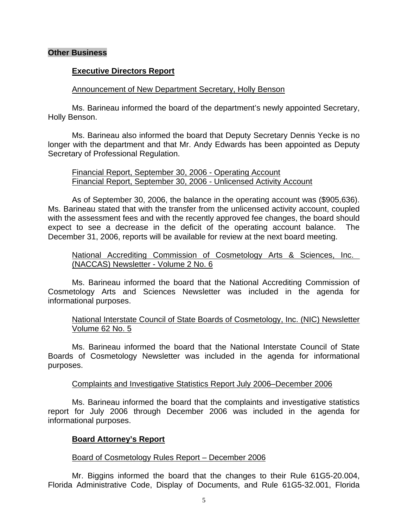#### **Other Business**

#### **Executive Directors Report**

#### Announcement of New Department Secretary, Holly Benson

 Ms. Barineau informed the board of the department's newly appointed Secretary, Holly Benson.

 Ms. Barineau also informed the board that Deputy Secretary Dennis Yecke is no longer with the department and that Mr. Andy Edwards has been appointed as Deputy Secretary of Professional Regulation.

#### Financial Report, September 30, 2006 - Operating Account Financial Report, September 30, 2006 - Unlicensed Activity Account

 As of September 30, 2006, the balance in the operating account was (\$905,636). Ms. Barineau stated that with the transfer from the unlicensed activity account, coupled with the assessment fees and with the recently approved fee changes, the board should expect to see a decrease in the deficit of the operating account balance. The December 31, 2006, reports will be available for review at the next board meeting.

#### National Accrediting Commission of Cosmetology Arts & Sciences, Inc. (NACCAS) Newsletter - Volume 2 No. 6

 Ms. Barineau informed the board that the National Accrediting Commission of Cosmetology Arts and Sciences Newsletter was included in the agenda for informational purposes.

#### National Interstate Council of State Boards of Cosmetology, Inc. (NIC) Newsletter Volume 62 No. 5

 Ms. Barineau informed the board that the National Interstate Council of State Boards of Cosmetology Newsletter was included in the agenda for informational purposes.

#### Complaints and Investigative Statistics Report July 2006–December 2006

 Ms. Barineau informed the board that the complaints and investigative statistics report for July 2006 through December 2006 was included in the agenda for informational purposes.

#### **Board Attorney's Report**

#### Board of Cosmetology Rules Report – December 2006

 Mr. Biggins informed the board that the changes to their Rule 61G5-20.004, Florida Administrative Code, Display of Documents, and Rule 61G5-32.001, Florida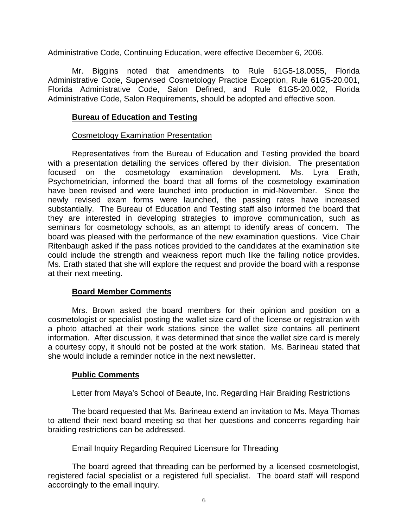Administrative Code, Continuing Education, were effective December 6, 2006.

 Mr. Biggins noted that amendments to Rule 61G5-18.0055, Florida Administrative Code, Supervised Cosmetology Practice Exception, Rule 61G5-20.001, Florida Administrative Code, Salon Defined, and Rule 61G5-20.002, Florida Administrative Code, Salon Requirements, should be adopted and effective soon.

#### **Bureau of Education and Testing**

#### Cosmetology Examination Presentation

 Representatives from the Bureau of Education and Testing provided the board with a presentation detailing the services offered by their division. The presentation focused on the cosmetology examination development. Ms. Lyra Erath, Psychometrician, informed the board that all forms of the cosmetology examination have been revised and were launched into production in mid-November. Since the newly revised exam forms were launched, the passing rates have increased substantially. The Bureau of Education and Testing staff also informed the board that they are interested in developing strategies to improve communication, such as seminars for cosmetology schools, as an attempt to identify areas of concern. The board was pleased with the performance of the new examination questions. Vice Chair Ritenbaugh asked if the pass notices provided to the candidates at the examination site could include the strength and weakness report much like the failing notice provides. Ms. Erath stated that she will explore the request and provide the board with a response at their next meeting.

## **Board Member Comments**

 Mrs. Brown asked the board members for their opinion and position on a cosmetologist or specialist posting the wallet size card of the license or registration with a photo attached at their work stations since the wallet size contains all pertinent information. After discussion, it was determined that since the wallet size card is merely a courtesy copy, it should not be posted at the work station. Ms. Barineau stated that she would include a reminder notice in the next newsletter.

## **Public Comments**

## Letter from Maya's School of Beaute, Inc. Regarding Hair Braiding Restrictions

 The board requested that Ms. Barineau extend an invitation to Ms. Maya Thomas to attend their next board meeting so that her questions and concerns regarding hair braiding restrictions can be addressed.

## Email Inquiry Regarding Required Licensure for Threading

 The board agreed that threading can be performed by a licensed cosmetologist, registered facial specialist or a registered full specialist. The board staff will respond accordingly to the email inquiry.